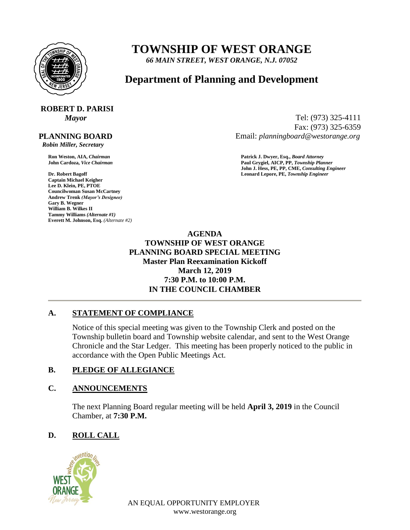

## **TOWNSHIP OF WEST ORANGE**

*66 MAIN STREET, WEST ORANGE, N.J. 07052*

### **Department of Planning and Development**

# **ROBERT D. PARISI**

 **PLANNING BOARD**

 *Robin Miller, Secretary*

**Captain Michael Keigher Lee D. Klein, PE, PTOE Councilwoman Susan McCartney Andrew Trenk** *(Mayor's Designee)* **Gary B. Wegner William B. Wilkes II Tammy Williams** *(Alternate #1)* **Everett M. Johnson, Esq.** *(Alternate #2)*

*Mayor* Tel: (973) 325-4111 Fax: (973) 325-6359 Email: *planningboard@westorange.org*

**Ron Weston, AIA,** *Chairman* **Patrick J. Dwyer, Esq.,** *Board Attorney* **John Cardoza,** *Vice Chairman* **Paul Grygiel, AICP, PP,** *Township Planner* **John J. Hess, PE, PP, CME,** *Consulting Engineer* **Dr. Robert Bagoff Leonard Lepore, PE,** *Township Engineer*

> **AGENDA TOWNSHIP OF WEST ORANGE PLANNING BOARD SPECIAL MEETING Master Plan Reexamination Kickoff March 12, 2019 7:30 P.M. to 10:00 P.M. IN THE COUNCIL CHAMBER**

#### **A. STATEMENT OF COMPLIANCE**

Notice of this special meeting was given to the Township Clerk and posted on the Township bulletin board and Township website calendar, and sent to the West Orange Chronicle and the Star Ledger. This meeting has been properly noticed to the public in accordance with the Open Public Meetings Act.

#### **B. PLEDGE OF ALLEGIANCE**

#### **C. ANNOUNCEMENTS**

The next Planning Board regular meeting will be held **April 3, 2019** in the Council Chamber, at **7:30 P.M.**

#### **D. ROLL CALL**